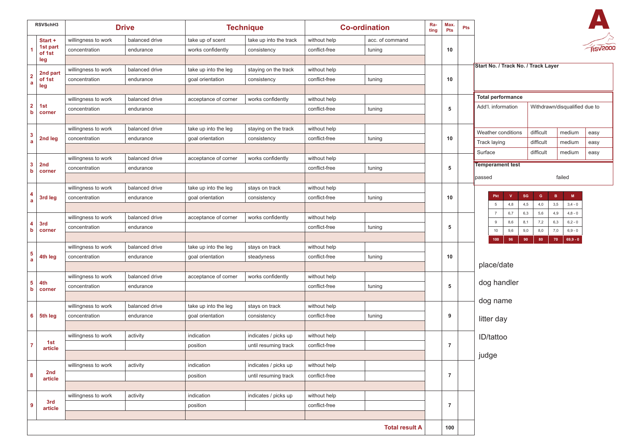| RSVSchH3                           |                     |                |                      |                        |                      |                       |             |                    |                                                                                          |
|------------------------------------|---------------------|----------------|----------------------|------------------------|----------------------|-----------------------|-------------|--------------------|------------------------------------------------------------------------------------------|
|                                    | <b>Drive</b>        |                | <b>Technique</b>     |                        | <b>Co-ordination</b> |                       | Ra-<br>ting | Max.<br><b>Pts</b> | <b>Pts</b>                                                                               |
| Start +                            | willingness to work | balanced drive | take up of scent     | take up into the track | without help         | acc. of command       |             |                    |                                                                                          |
| 1st part<br>of 1st                 | concentration       | endurance      | works confidently    | consistency            | conflict-free        | tuning                |             | 10                 | <b>RSV2000</b>                                                                           |
| leg                                |                     |                |                      |                        |                      |                       |             |                    |                                                                                          |
| 2nd part                           | willingness to work | balanced drive | take up into the leg | staying on the track   | without help         |                       |             |                    | Start No. / Track No. / Track Layer                                                      |
| $\overline{2}$<br>of 1st<br>a      | concentration       | endurance      | goal orientation     | consistency            | conflict-free        | tuning                |             | 10                 |                                                                                          |
| leg                                |                     |                |                      |                        |                      |                       |             |                    |                                                                                          |
|                                    | willingness to work | balanced drive | acceptance of corner | works confidently      | without help         |                       |             |                    | <b>Total performance</b>                                                                 |
| $\mathbf{2}$<br>1st<br>b<br>corner | concentration       | endurance      |                      |                        | conflict-free        | tuning                |             | 5                  | Add'l. information<br>Withdrawn/disqualified due to                                      |
|                                    |                     |                |                      |                        |                      |                       |             |                    |                                                                                          |
|                                    | willingness to work | balanced drive | take up into the leg | staying on the track   | without help         |                       |             | 10                 |                                                                                          |
| 3<br>2nd leg<br>$\mathbf{a}$       | concentration       | endurance      | goal orientation     | consistency            | conflict-free        | tuning                |             |                    | Weather conditions<br>difficult<br>medium<br>easy                                        |
|                                    |                     |                |                      |                        |                      |                       |             |                    | Track laying<br>difficult<br>medium<br>easy                                              |
|                                    | willingness to work | balanced drive | acceptance of corner | works confidently      | without help         |                       |             |                    | Surface<br>difficult<br>medium<br>easy                                                   |
| 3<br>2nd<br>b                      | concentration       | endurance      |                      |                        | conflict-free        | tuning                |             | 5                  | <b>Temperament test</b>                                                                  |
| corner                             |                     |                |                      |                        |                      |                       |             |                    | failed<br>passed                                                                         |
|                                    | willingness to work | balanced drive | take up into the leg | stays on track         | without help         |                       |             | 10                 |                                                                                          |
| 4<br>3rd leg<br>$\mathbf{a}$       | concentration       | endurance      | goal orientation     | consistency            | conflict-free        | tuning                |             |                    | SG<br>B<br>Pkt<br>$\mathbf{v}$<br>G<br>M                                                 |
|                                    |                     |                |                      |                        |                      |                       |             |                    | 4,8<br>4,5<br>4,0<br>3,5<br>$3,4 - 0$<br>$5\phantom{.0}$                                 |
|                                    | willingness to work | balanced drive | acceptance of corner | works confidently      | without help         |                       |             |                    | 6,7<br>6,3<br>5,6<br>$\overline{7}$<br>4,9<br>$4,8 - 0$                                  |
| 4<br>3rd<br>b                      | concentration       | endurance      |                      |                        | conflict-free        | tuning                |             | 5                  | 7,2<br>6,3<br>$6,2 - 0$<br>9<br>8,6<br>8,1                                               |
| corner                             |                     |                |                      |                        |                      |                       |             |                    | 10<br>7,0<br>$6,9 - 0$<br>9,6<br>9,0<br>8,0<br>80<br>70<br>$69,9 - 0$<br>100<br>96<br>90 |
|                                    | willingness to work | balanced drive | take up into the leg | stays on track         | without help         |                       |             |                    |                                                                                          |
| 5<br>4th leg                       | concentration       | endurance      | goal orientation     | steadyness             | conflict-free        | tuning                |             | 10                 |                                                                                          |
| $\mathbf{a}$                       |                     |                |                      |                        |                      |                       |             |                    | place/date                                                                               |
|                                    | willingness to work | balanced drive | acceptance of corner | works confidently      | without help         |                       |             |                    |                                                                                          |
| 5<br>4th                           | concentration       | endurance      |                      |                        | conflict-free        | tuning                |             | 5                  | dog handler                                                                              |
| b<br>corner                        |                     |                |                      |                        |                      |                       |             |                    |                                                                                          |
|                                    | willingness to work | balanced drive | take up into the leg | stays on track         | without help         |                       |             |                    | dog name                                                                                 |
| 6<br>5th leg                       | concentration       | endurance      | goal orientation     | consistency            | conflict-free        | tuning                |             | 9                  |                                                                                          |
|                                    |                     |                |                      |                        |                      |                       |             |                    | litter day                                                                               |
|                                    | willingness to work | activity       | indication           | indicates / picks up   | without help         |                       |             |                    | ID/tattoo                                                                                |
| 1st<br>$\overline{7}$              |                     |                | position             | until resuming track   | conflict-free        |                       |             | $\overline{7}$     |                                                                                          |
| article                            |                     |                |                      |                        |                      |                       |             |                    | judge                                                                                    |
|                                    | willingness to work | activity       | indication           | indicates / picks up   | without help         |                       |             |                    |                                                                                          |
| 2nd<br>8                           |                     |                | position             | until resuming track   | conflict-free        |                       |             | $\overline{7}$     |                                                                                          |
| article                            |                     |                |                      |                        |                      |                       |             |                    |                                                                                          |
|                                    | willingness to work | activity       | indication           | indicates / picks up   | without help         |                       |             |                    |                                                                                          |
| 3rd<br>9                           |                     |                | position             |                        | conflict-free        |                       |             | $\overline{7}$     |                                                                                          |
| article                            |                     |                |                      |                        |                      |                       |             |                    |                                                                                          |
|                                    |                     |                |                      |                        |                      | <b>Total result A</b> |             | 100                |                                                                                          |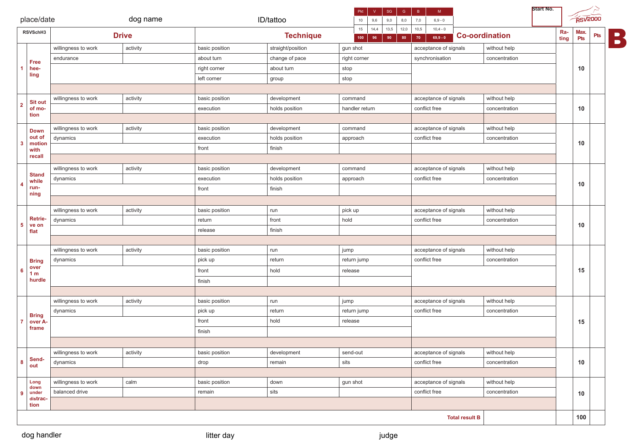| place/date                                  |                     | dog name<br><b>Drive</b> |                | Pkt<br>SG<br>ID/tattoo<br>10<br>9,6<br>9,0<br>13,5<br>15<br>14,4<br><b>Technique</b><br>100<br>96<br>90 |                | $\mathsf{G}$<br>B<br>M<br>8,0<br>7,0<br>$6,9 - 0$    | <b>Start No.</b>      |             | $R$ sv <sup>2000</sup> |     |
|---------------------------------------------|---------------------|--------------------------|----------------|---------------------------------------------------------------------------------------------------------|----------------|------------------------------------------------------|-----------------------|-------------|------------------------|-----|
| RSVSchH3                                    |                     |                          |                |                                                                                                         |                | 12,0<br>10,5<br>$10,4 - 0$<br>$69,9 - 0$<br>80<br>70 | <b>Co-oordination</b> | Ra-<br>ting | Max.<br>Pts            | Pts |
|                                             | willingness to work | activity                 | basic position | straight/position                                                                                       | gun shot       | acceptance of signals                                | without help          |             |                        |     |
| Free                                        | endurance           |                          | about turn     | change of pace                                                                                          | right corner   | synchronisation                                      | concentration         |             |                        |     |
| hee-                                        |                     |                          | right corner   | about turn                                                                                              | stop           |                                                      |                       |             | 10                     |     |
| ling                                        |                     |                          | left corner    | group                                                                                                   | stop           |                                                      |                       |             |                        |     |
|                                             |                     |                          |                |                                                                                                         |                |                                                      |                       |             |                        |     |
| <b>Sit out</b>                              | willingness to work | activity                 | basic position | development                                                                                             | command        | acceptance of signals                                | without help          |             |                        |     |
| $\overline{2}$<br>of mo-                    |                     |                          | execution      | holds position                                                                                          | handler return | conflict free                                        | concentration         |             | 10                     |     |
| tion                                        |                     |                          |                |                                                                                                         |                |                                                      |                       |             |                        |     |
| <b>Down</b>                                 | willingness to work | activity                 | basic position | development                                                                                             | command        | acceptance of signals                                | without help          |             |                        |     |
| out of<br>$\overline{\mathbf{3}}$<br>motion | dynamics            |                          | execution      | holds position                                                                                          | approach       | conflict free                                        | concentration         |             | 10                     |     |
| with                                        |                     |                          |                | finish                                                                                                  |                |                                                      |                       |             |                        |     |
| recall                                      |                     |                          |                |                                                                                                         |                |                                                      |                       |             |                        |     |
|                                             | willingness to work | activity                 | basic position | development                                                                                             | command        | acceptance of signals                                | without help          |             |                        |     |
| <b>Stand</b><br>while<br>$\overline{4}$     | dynamics            |                          | execution      | holds position                                                                                          | approach       | conflict free                                        | concentration         |             |                        |     |
| run-                                        |                     |                          | front          | finish                                                                                                  |                |                                                      |                       |             | 10                     |     |
| ning                                        |                     |                          |                |                                                                                                         |                |                                                      |                       |             |                        |     |
|                                             | willingness to work | activity                 | basic position | run                                                                                                     | pick up        | acceptance of signals                                | without help          |             |                        |     |
| <b>Retrie-</b><br>5                         | dynamics            |                          | return         | front                                                                                                   | hold           | conflict free                                        | concentration         |             | 10                     |     |
| ve on<br>flat                               |                     |                          | release        | finish                                                                                                  |                |                                                      |                       |             |                        |     |
|                                             |                     |                          |                |                                                                                                         |                |                                                      |                       |             |                        |     |
|                                             | willingness to work | activity                 | basic position | run                                                                                                     | jump           | acceptance of signals                                | without help          |             |                        |     |
| <b>Bring</b>                                | dynamics            |                          | pick up        | return                                                                                                  | return jump    | conflict free                                        | concentration         |             |                        |     |
| over<br>- 6<br>1 <sub>m</sub>               |                     |                          |                | hold                                                                                                    | release        |                                                      |                       |             | 15                     |     |
| hurdle                                      |                     |                          | finish         |                                                                                                         |                |                                                      |                       |             |                        |     |
|                                             |                     |                          |                |                                                                                                         |                |                                                      |                       |             |                        |     |
|                                             | willingness to work | activity                 | basic position | run                                                                                                     | jump           | acceptance of signals                                | without help          |             |                        |     |
| <b>Bring</b>                                | dynamics            |                          | pick up        | return                                                                                                  | return jump    | conflict free                                        | concentration         |             |                        |     |
| -7<br>over A-                               |                     |                          | front          | hold                                                                                                    | release        |                                                      |                       |             | 15                     |     |
| frame                                       |                     |                          | finish         |                                                                                                         |                |                                                      |                       |             |                        |     |
|                                             |                     |                          |                |                                                                                                         |                |                                                      |                       |             |                        |     |
|                                             | willingness to work | activity                 | basic position | development                                                                                             | send-out       | acceptance of signals                                | without help          |             |                        |     |
| Send-<br>$\boldsymbol{8}$<br>out            | dynamics            |                          | drop           | remain                                                                                                  | sits           | conflict free                                        | concentration         |             | 10                     |     |
|                                             |                     |                          |                |                                                                                                         |                |                                                      |                       |             |                        |     |
| Long<br>down                                | willingness to work | calm                     | basic position | down                                                                                                    | gun shot       | acceptance of signals                                | without help          |             |                        |     |
| under<br>9                                  | balanced drive      |                          | remain         | sits                                                                                                    |                | conflict free                                        | concentration         |             | 10                     |     |
| distrac-<br>tion                            |                     |                          |                |                                                                                                         |                |                                                      |                       |             |                        |     |
|                                             |                     |                          |                |                                                                                                         |                | <b>Total result B</b>                                |                       |             | 100                    |     |